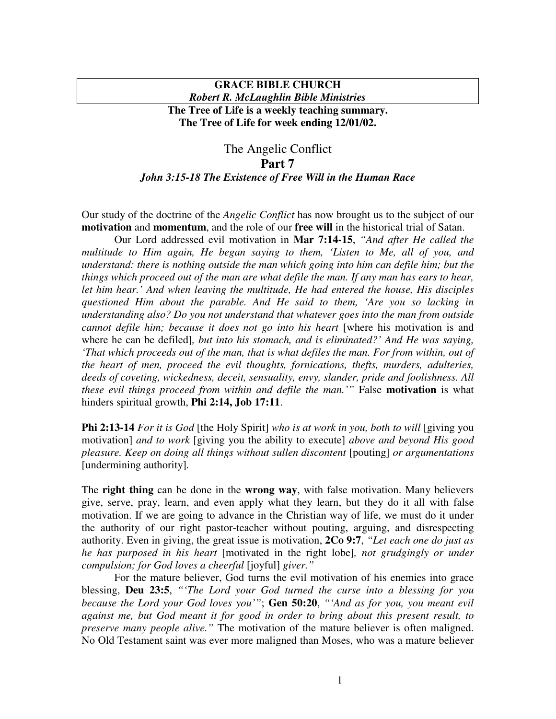## **GRACE BIBLE CHURCH** *Robert R. McLaughlin Bible Ministries*

**The Tree of Life is a weekly teaching summary. The Tree of Life for week ending 12/01/02.**

## The Angelic Conflict **Part 7** *John 3:15-18 The Existence of Free Will in the Human Race*

Our study of the doctrine of the *Angelic Conflict* has now brought us to the subject of our **motivation** and **momentum**, and the role of our **free will** in the historical trial of Satan.

Our Lord addressed evil motivation in **Mar 7:14-15**, *"And after He called the multitude to Him again, He began saying to them, 'Listen to Me, all of you, and understand: there is nothing outside the man which going into him can defile him; but the things which proceed out of the man are what defile the man. If any man has ears to hear, let him hear.' And when leaving the multitude, He had entered the house, His disciples questioned Him about the parable. And He said to them, 'Are you so lacking in understanding also? Do you not understand that whatever goes into the man from outside cannot defile him; because it does not go into his heart* [where his motivation is and where he can be defiled]*, but into his stomach, and is eliminated?' And He was saying, 'That which proceeds out of the man, that is what defiles the man. For from within, out of the heart of men, proceed the evil thoughts, fornications, thefts, murders, adulteries, deeds of coveting, wickedness, deceit, sensuality, envy, slander, pride and foolishness. All these evil things proceed from within and defile the man.'"* False **motivation** is what hinders spiritual growth, **Phi 2:14, Job 17:11**.

**Phi 2:13-14** *For it is God* [the Holy Spirit] *who is at work in you, both to will* [giving you motivation] *and to work* [giving you the ability to execute] *above and beyond His good pleasure. Keep on doing all things without sullen discontent* [pouting] *or argumentations* [undermining authority]*.*

The **right thing** can be done in the **wrong way**, with false motivation. Many believers give, serve, pray, learn, and even apply what they learn, but they do it all with false motivation. If we are going to advance in the Christian way of life, we must do it under the authority of our right pastor-teacher without pouting, arguing, and disrespecting authority. Even in giving, the great issue is motivation, **2Co 9:7**, *"Let each one do just as he has purposed in his heart* [motivated in the right lobe]*, not grudgingly or under compulsion; for God loves a cheerful* [joyful] *giver."*

For the mature believer, God turns the evil motivation of his enemies into grace blessing, **Deu 23:5**, *"'The Lord your God turned the curse into a blessing for you because the Lord your God loves you'"*; **Gen 50:20**, *"'And as for you, you meant evil against me, but God meant it for good in order to bring about this present result, to preserve many people alive."* The motivation of the mature believer is often maligned. No Old Testament saint was ever more maligned than Moses, who was a mature believer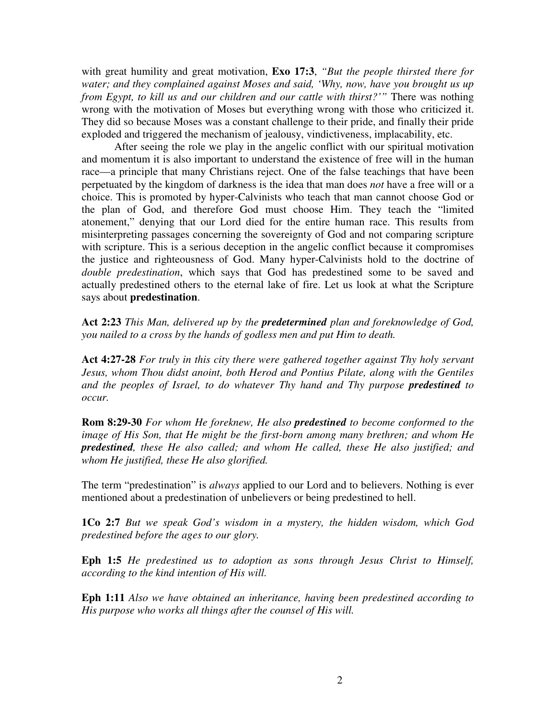with great humility and great motivation, **Exo 17:3**, *"But the people thirsted there for water; and they complained against Moses and said, 'Why, now, have you brought us up from Egypt, to kill us and our children and our cattle with thirst?'"* There was nothing wrong with the motivation of Moses but everything wrong with those who criticized it. They did so because Moses was a constant challenge to their pride, and finally their pride exploded and triggered the mechanism of jealousy, vindictiveness, implacability, etc.

After seeing the role we play in the angelic conflict with our spiritual motivation and momentum it is also important to understand the existence of free will in the human race—a principle that many Christians reject. One of the false teachings that have been perpetuated by the kingdom of darkness is the idea that man does *not* have a free will or a choice. This is promoted by hyper-Calvinists who teach that man cannot choose God or the plan of God, and therefore God must choose Him. They teach the "limited atonement," denying that our Lord died for the entire human race. This results from misinterpreting passages concerning the sovereignty of God and not comparing scripture with scripture. This is a serious deception in the angelic conflict because it compromises the justice and righteousness of God. Many hyper-Calvinists hold to the doctrine of *double predestination*, which says that God has predestined some to be saved and actually predestined others to the eternal lake of fire. Let us look at what the Scripture says about **predestination**.

**Act 2:23** *This Man, delivered up by the predetermined plan and foreknowledge of God, you nailed to a cross by the hands of godless men and put Him to death.*

**Act 4:27-28** *For truly in this city there were gathered together against Thy holy servant Jesus, whom Thou didst anoint, both Herod and Pontius Pilate, along with the Gentiles and the peoples of Israel, to do whatever Thy hand and Thy purpose predestined to occur.*

**Rom 8:29-30** *For whom He foreknew, He also predestined to become conformed to the image of His Son, that He might be the first-born among many brethren; and whom He predestined, these He also called; and whom He called, these He also justified; and whom He justified, these He also glorified.*

The term "predestination" is *always* applied to our Lord and to believers. Nothing is ever mentioned about a predestination of unbelievers or being predestined to hell.

**1Co 2:7** *But we speak God's wisdom in a mystery, the hidden wisdom, which God predestined before the ages to our glory.*

**Eph 1:5** *He predestined us to adoption as sons through Jesus Christ to Himself, according to the kind intention of His will.*

**Eph 1:11** *Also we have obtained an inheritance, having been predestined according to His purpose who works all things after the counsel of His will.*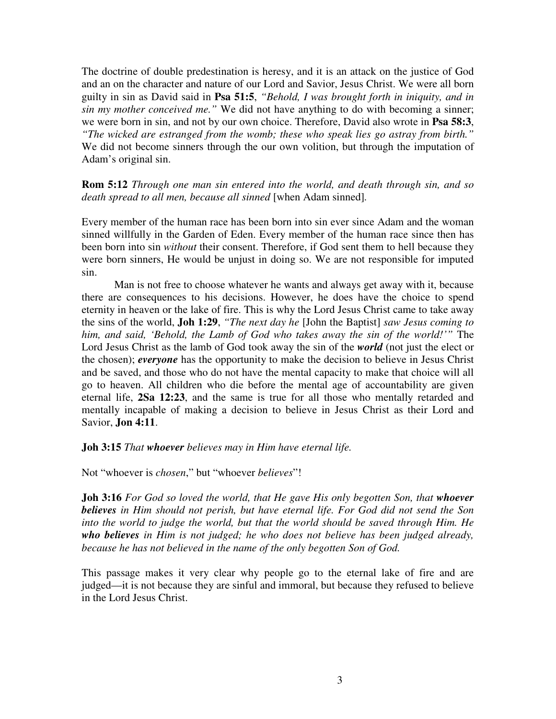The doctrine of double predestination is heresy, and it is an attack on the justice of God and an on the character and nature of our Lord and Savior, Jesus Christ. We were all born guilty in sin as David said in **Psa 51:5**, *"Behold, I was brought forth in iniquity, and in sin my mother conceived me."* We did not have anything to do with becoming a sinner; we were born in sin, and not by our own choice. Therefore, David also wrote in **Psa 58:3**, *"The wicked are estranged from the womb; these who speak lies go astray from birth."* We did not become sinners through the our own volition, but through the imputation of Adam's original sin.

**Rom 5:12** *Through one man sin entered into the world, and death through sin, and so death spread to all men, because all sinned* [when Adam sinned]*.*

Every member of the human race has been born into sin ever since Adam and the woman sinned willfully in the Garden of Eden. Every member of the human race since then has been born into sin *without* their consent. Therefore, if God sent them to hell because they were born sinners, He would be unjust in doing so. We are not responsible for imputed sin.

Man is not free to choose whatever he wants and always get away with it, because there are consequences to his decisions. However, he does have the choice to spend eternity in heaven or the lake of fire. This is why the Lord Jesus Christ came to take away the sins of the world, **Joh 1:29**, *"The next day he* [John the Baptist] *saw Jesus coming to him, and said, 'Behold, the Lamb of God who takes away the sin of the world!'"* The Lord Jesus Christ as the lamb of God took away the sin of the *world* (not just the elect or the chosen); *everyone* has the opportunity to make the decision to believe in Jesus Christ and be saved, and those who do not have the mental capacity to make that choice will all go to heaven. All children who die before the mental age of accountability are given eternal life, **2Sa 12:23**, and the same is true for all those who mentally retarded and mentally incapable of making a decision to believe in Jesus Christ as their Lord and Savior, **Jon 4:11**.

**Joh 3:15** *That whoever believes may in Him have eternal life.*

Not "whoever is *chosen*," but "whoever *believes*"!

**Joh 3:16** *For God so loved the world, that He gave His only begotten Son, that whoever believes in Him should not perish, but have eternal life. For God did not send the Son into the world to judge the world, but that the world should be saved through Him. He who believes in Him is not judged; he who does not believe has been judged already, because he has not believed in the name of the only begotten Son of God.*

This passage makes it very clear why people go to the eternal lake of fire and are judged—it is not because they are sinful and immoral, but because they refused to believe in the Lord Jesus Christ.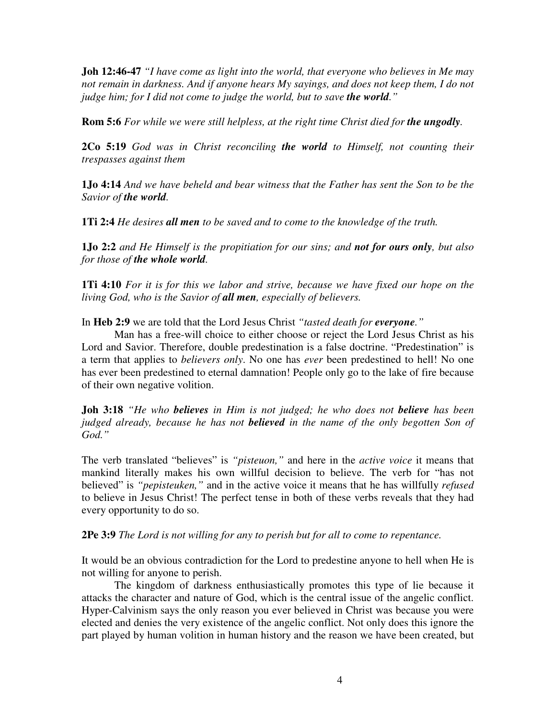**Joh 12:46-47** *"I have come as light into the world, that everyone who believes in Me may not remain in darkness. And if anyone hears My sayings, and does not keep them, I do not judge him; for I did not come to judge the world, but to save the world."*

**Rom 5:6** *For while we were still helpless, at the right time Christ died for the ungodly.*

**2Co 5:19** *God was in Christ reconciling the world to Himself, not counting their trespasses against them*

**1Jo 4:14** *And we have beheld and bear witness that the Father has sent the Son to be the Savior of the world.*

**1Ti 2:4** *He desires all men to be saved and to come to the knowledge of the truth.*

**1Jo 2:2** *and He Himself is the propitiation for our sins; and not for ours only, but also for those of the whole world.*

**1Ti 4:10** *For it is for this we labor and strive, because we have fixed our hope on the living God, who is the Savior of all men, especially of believers.*

In **Heb 2:9** we are told that the Lord Jesus Christ *"tasted death for everyone."*

Man has a free-will choice to either choose or reject the Lord Jesus Christ as his Lord and Savior. Therefore, double predestination is a false doctrine. "Predestination" is a term that applies to *believers only*. No one has *ever* been predestined to hell! No one has ever been predestined to eternal damnation! People only go to the lake of fire because of their own negative volition.

**Joh 3:18** *"He who believes in Him is not judged; he who does not believe has been judged already, because he has not believed in the name of the only begotten Son of God."*

The verb translated "believes" is *"pisteuon,"* and here in the *active voice* it means that mankind literally makes his own willful decision to believe. The verb for "has not believed" is *"pepisteuken,"* and in the active voice it means that he has willfully *refused* to believe in Jesus Christ! The perfect tense in both of these verbs reveals that they had every opportunity to do so.

**2Pe 3:9** *The Lord is not willing for any to perish but for all to come to repentance.*

It would be an obvious contradiction for the Lord to predestine anyone to hell when He is not willing for anyone to perish.

The kingdom of darkness enthusiastically promotes this type of lie because it attacks the character and nature of God, which is the central issue of the angelic conflict. Hyper-Calvinism says the only reason you ever believed in Christ was because you were elected and denies the very existence of the angelic conflict. Not only does this ignore the part played by human volition in human history and the reason we have been created, but